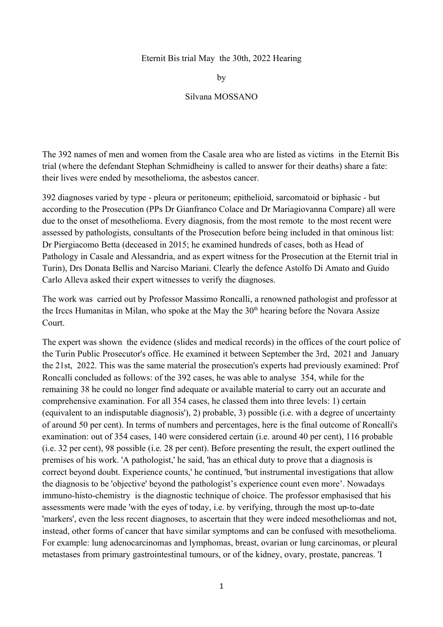#### Eternit Bis trial May the 30th, 2022 Hearing

by

### Silvana MOSSANO

The 392 names of men and women from the Casale area who are listed as victims in the Eternit Bis trial (where the defendant Stephan Schmidheiny is called to answer for their deaths) share a fate: their lives were ended by mesothelioma, the asbestos cancer.

392 diagnoses varied by type - pleura or peritoneum; epithelioid, sarcomatoid or biphasic - but according to the Prosecution (PPs Dr Gianfranco Colace and Dr Mariagiovanna Compare) all were due to the onset of mesothelioma. Every diagnosis, from the most remote to the most recent were assessed by pathologists, consultants of the Prosecution before being included in that ominous list: Dr Piergiacomo Betta (deceased in 2015; he examined hundreds of cases, both as Head of Pathology in Casale and Alessandria, and as expert witness for the Prosecution at the Eternit trial in Turin), Drs Donata Bellis and Narciso Mariani. Clearly the defence Astolfo Di Amato and Guido Carlo Alleva asked their expert witnesses to verify the diagnoses.

The work was carried out by Professor Massimo Roncalli, a renowned pathologist and professor at the Irccs Humanitas in Milan, who spoke at the May the  $30<sup>th</sup>$  hearing before the Novara Assize Court.

The expert was shown the evidence (slides and medical records) in the offices of the court police of the Turin Public Prosecutor's office. He examined it between September the 3rd, 2021 and January the 21st, 2022. This was the same material the prosecution's experts had previously examined: Prof Roncalli concluded as follows: of the 392 cases, he was able to analyse 354, while for the remaining 38 he could no longer find adequate or available material to carry out an accurate and comprehensive examination. For all 354 cases, he classed them into three levels: 1) certain (equivalent to an indisputable diagnosis'), 2) probable, 3) possible (i.e. with a degree of uncertainty of around 50 per cent). In terms of numbers and percentages, here is the final outcome of Roncalli's examination: out of 354 cases, 140 were considered certain (i.e. around 40 per cent), 116 probable (i.e. 32 per cent), 98 possible (i.e. 28 per cent). Before presenting the result, the expert outlined the premises of his work. 'A pathologist,' he said, 'has an ethical duty to prove that a diagnosis is correct beyond doubt. Experience counts,' he continued, 'but instrumental investigations that allow the diagnosis to be 'objective' beyond the pathologist's experience count even more'. Nowadays immuno-histo-chemistry is the diagnostic technique of choice. The professor emphasised that his assessments were made 'with the eyes of today, i.e. by verifying, through the most up-to-date 'markers', even the less recent diagnoses, to ascertain that they were indeed mesotheliomas and not, instead, other forms of cancer that have similar symptoms and can be confused with mesothelioma. For example: lung adenocarcinomas and lymphomas, breast, ovarian or lung carcinomas, or pleural metastases from primary gastrointestinal tumours, or of the kidney, ovary, prostate, pancreas. 'I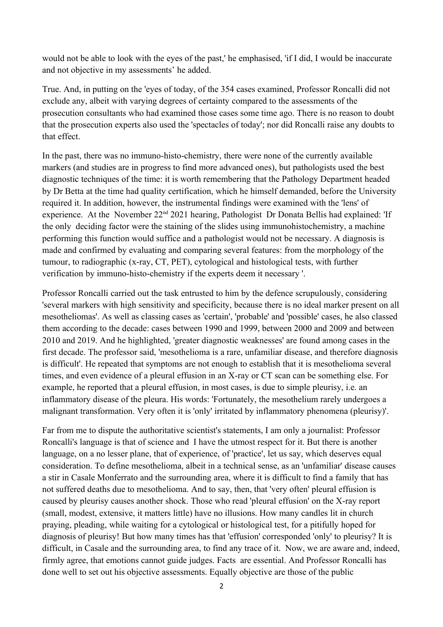would not be able to look with the eyes of the past,' he emphasised, 'if I did, I would be inaccurate and not objective in my assessments' he added.

True. And, in putting on the 'eyes of today, of the 354 cases examined, Professor Roncalli did not exclude any, albeit with varying degrees of certainty compared to the assessments of the prosecution consultants who had examined those cases some time ago. There is no reason to doubt that the prosecution experts also used the 'spectacles of today'; nor did Roncalli raise any doubts to that effect.

In the past, there was no immuno-histo-chemistry, there were none of the currently available markers (and studies are in progress to find more advanced ones), but pathologists used the best diagnostic techniques of the time: it is worth remembering that the Pathology Department headed by Dr Betta at the time had quality certification, which he himself demanded, before the University required it. In addition, however, the instrumental findings were examined with the 'lens' of experience. At the November 22<sup>nd</sup> 2021 hearing, Pathologist Dr Donata Bellis had explained: 'If the only deciding factor were the staining of the slides using immunohistochemistry, a machine performing this function would suffice and a pathologist would not be necessary. A diagnosis is made and confirmed by evaluating and comparing several features: from the morphology of the tumour, to radiographic (x-ray, CT, PET), cytological and histological tests, with further verification by immuno-histo-chemistry if the experts deem it necessary '.

Professor Roncalli carried out the task entrusted to him by the defence scrupulously, considering 'several markers with high sensitivity and specificity, because there is no ideal marker present on all mesotheliomas'. As well as classing cases as 'certain', 'probable' and 'possible' cases, he also classed them according to the decade: cases between 1990 and 1999, between 2000 and 2009 and between 2010 and 2019. And he highlighted, 'greater diagnostic weaknesses' are found among cases in the first decade. The professor said, 'mesothelioma is a rare, unfamiliar disease, and therefore diagnosis is difficult'. He repeated that symptoms are not enough to establish that it is mesothelioma several times, and even evidence of a pleural effusion in an X-ray or CT scan can be something else. For example, he reported that a pleural effusion, in most cases, is due to simple pleurisy, i.e. an inflammatory disease of the pleura. His words: 'Fortunately, the mesothelium rarely undergoes a malignant transformation. Very often it is 'only' irritated by inflammatory phenomena (pleurisy)'.

Far from me to dispute the authoritative scientist's statements, I am only a journalist: Professor Roncalli's language is that of science and I have the utmost respect for it. But there is another language, on a no lesser plane, that of experience, of 'practice', let us say, which deserves equal consideration. To define mesothelioma, albeit in a technical sense, as an 'unfamiliar' disease causes a stir in Casale Monferrato and the surrounding area, where it is difficult to find a family that has not suffered deaths due to mesothelioma. And to say, then, that 'very often' pleural effusion is caused by pleurisy causes another shock. Those who read 'pleural effusion' on the X-ray report (small, modest, extensive, it matters little) have no illusions. How many candles lit in church praying, pleading, while waiting for a cytological or histological test, for a pitifully hoped for diagnosis of pleurisy! But how many times has that 'effusion' corresponded 'only' to pleurisy? It is difficult, in Casale and the surrounding area, to find any trace of it. Now, we are aware and, indeed, firmly agree, that emotions cannot guide judges. Facts are essential. And Professor Roncalli has done well to set out his objective assessments. Equally objective are those of the public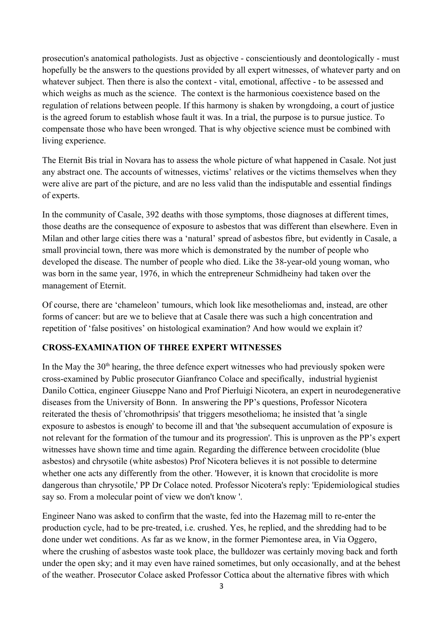prosecution's anatomical pathologists. Just as objective - conscientiously and deontologically - must hopefully be the answers to the questions provided by all expert witnesses, of whatever party and on whatever subject. Then there is also the context - vital, emotional, affective - to be assessed and which weighs as much as the science. The context is the harmonious coexistence based on the regulation of relations between people. If this harmony is shaken by wrongdoing, a court of justice is the agreed forum to establish whose fault it was. In a trial, the purpose is to pursue justice. To compensate those who have been wronged. That is why objective science must be combined with living experience.

The Eternit Bis trial in Novara has to assess the whole picture of what happened in Casale. Not just any abstract one. The accounts of witnesses, victims' relatives or the victims themselves when they were alive are part of the picture, and are no less valid than the indisputable and essential findings of experts.

In the community of Casale, 392 deaths with those symptoms, those diagnoses at different times, those deaths are the consequence of exposure to asbestos that was different than elsewhere. Even in Milan and other large cities there was a 'natural' spread of asbestos fibre, but evidently in Casale, a small provincial town, there was more which is demonstrated by the number of people who developed the disease. The number of people who died. Like the 38-year-old young woman, who was born in the same year, 1976, in which the entrepreneur Schmidheiny had taken over the management of Eternit.

Of course, there are 'chameleon' tumours, which look like mesotheliomas and, instead, are other forms of cancer: but are we to believe that at Casale there was such a high concentration and repetition of 'false positives' on histological examination? And how would we explain it?

## **CROSS-EXAMINATION OF THREE EXPERT WITNESSES**

In the May the  $30<sup>th</sup>$  hearing, the three defence expert witnesses who had previously spoken were cross-examined by Public prosecutor Gianfranco Colace and specifically, industrial hygienist Danilo Cottica, engineer Giuseppe Nano and Prof Pierluigi Nicotera, an expert in neurodegenerative diseases from the University of Bonn. In answering the PP's questions, Professor Nicotera reiterated the thesis of 'chromothripsis' that triggers mesothelioma; he insisted that 'a single exposure to asbestos is enough' to become ill and that 'the subsequent accumulation of exposure is not relevant for the formation of the tumour and its progression'. This is unproven as the PP's expert witnesses have shown time and time again. Regarding the difference between crocidolite (blue asbestos) and chrysotile (white asbestos) Prof Nicotera believes it is not possible to determine whether one acts any differently from the other. 'However, it is known that crocidolite is more dangerous than chrysotile,' PP Dr Colace noted. Professor Nicotera's reply: 'Epidemiological studies say so. From a molecular point of view we don't know '.

Engineer Nano was asked to confirm that the waste, fed into the Hazemag mill to re-enter the production cycle, had to be pre-treated, i.e. crushed. Yes, he replied, and the shredding had to be done under wet conditions. As far as we know, in the former Piemontese area, in Via Oggero, where the crushing of asbestos waste took place, the bulldozer was certainly moving back and forth under the open sky; and it may even have rained sometimes, but only occasionally, and at the behest of the weather. Prosecutor Colace asked Professor Cottica about the alternative fibres with which